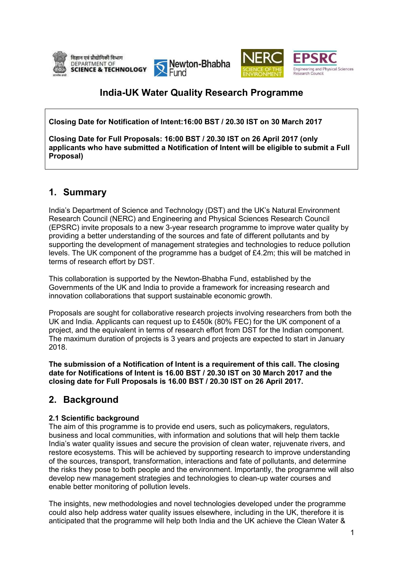





# **India-UK Water Quality Research Programme**

**Closing Date for Notification of Intent: Intent:16:00 BST / 20.30 IST on 30 March 2017**

Closing Date for Full Proposals: 16:00 BST / 20.30 IST on 26 April 2017 (only applicants who have submitted a Notification of Intent will be eligible to submit a Full **Proposal)** 

# **1. Summary**

India's Department of Science and Technology (DST) and the UK's Natural Environment Research Council (NERC) and Engineering and Physical Sciences Research Council (EPSRC) invite proposals to a new 3-year research programme to improve water quality by providing a better understanding of the sources and fate of different pollutants and by supporting the development of management strategies and technologies to reduce pollution providing a better understanding of the sources and fate of different pollutants and by<br>supporting the development of management strategies and technologies to reduce pollution<br>levels. The UK component of the programme has terms of research effort by DST.

This collaboration is supported by the Newton-Bhabha Fund, established by the Governments of the UK and India to provide a framework for increasing research and innovation collaborations that support sustainable economic growth.

Proposals are sought for collaborative research projects involving researchers from both the UK and India. Applicants can request up to £450k (80% FEC) for the UK component of a project, and the equivalent in terms of research effort from DST for the Indian component. The maximum duration of projects is 3 years and projects are expected to start in January 2018. n-Bhabha Fund, established by the<br>a framework for increasing research and<br>able economic growth.<br>ch projects involving researchers from both the<br>450k (80% FEC) for the UK component of a<br>ch effort from DST for the Indian com

**The submission of a Notification of Intent is a requirement of this call. The closing date for Notifications of Intent is is 16.00 BST / 20.30 IST on 30 March 2017 and the closing date for Full Proposals is 16.00 BST roposals BST / 20.30 IST on 26 April 2017.**

# **2. Background**

### **2.1 Scientific background**

The aim of this programme is to provide end users, such as policymakers, regulators, business and local communities, with information and solutions that will help them tackle India's water quality issues and secure the provision of clean water, rejuvenate rivers, and restore ecosystems. This will be achieved by supporting research to improve understanding of the sources, transport, transformation, interactions and fate of pollutants, the risks they pose to both people and the environment. Importantly, the programme will also develop new management strategies and technologies to clean-up water courses and enable better monitoring of pollution levels. levels. develop new management strategies and technologies to clean-up water courses and<br>enable better monitoring of pollution levels.<br>The insights, new methodologies and novel technologies developed under the programme

could also help address water quality issues elsewhere, including in the UK, therefore it is anticipated that the programme will help both India and the UK achieve the Clean Water &<br>1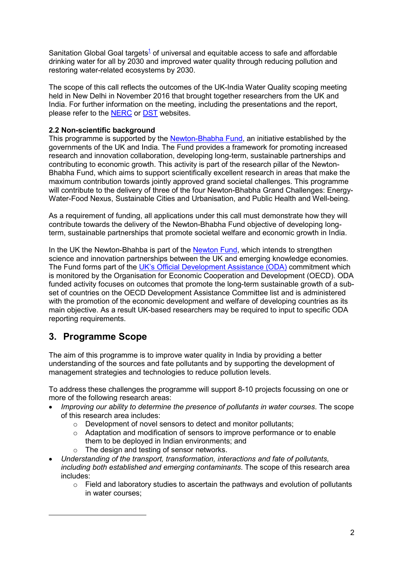Sanitation Global Goal targets<sup>1</sup> of universal and equitable access to safe and affordable drinking water for all by 2030 and improved water quality through reducing pollution and restoring water-related ecosystems by 2030.

The scope of this call reflects the outcomes of the UK-India Water Quality scoping meeting held in New Delhi in November 2016 that brought together researchers from the UK and India. For further information on the meeting, including the presentations and the report, please refer to the **NERC** or **DST** websites.

### **2.2 Non-scientific background**

This programme is supported by the Newton-Bhabha Fund, an initiative established by the governments of the UK and India. The Fund provides a framework for promoting increased research and innovation collaboration, developing long-term, sustainable partnerships and contributing to economic growth. This activity is part of the research pillar of the Newton-Bhabha Fund, which aims to support scientifically excellent research in areas that make the maximum contribution towards jointly approved grand societal challenges. This programme will contribute to the delivery of three of the four Newton-Bhabha Grand Challenges: Energy-Water-Food Nexus, Sustainable Cities and Urbanisation, and Public Health and Well-being.

As a requirement of funding, all applications under this call must demonstrate how they will contribute towards the delivery of the Newton-Bhabha Fund objective of developing longterm, sustainable partnerships that promote societal welfare and economic growth in India.

In the UK the Newton-Bhahba is part of the Newton Fund, which intends to strengthen science and innovation partnerships between the UK and emerging knowledge economies. The Fund forms part of the UK's Official Development Assistance (ODA) commitment which is monitored by the Organisation for Economic Cooperation and Development (OECD). ODA funded activity focuses on outcomes that promote the long-term sustainable growth of a subset of countries on the OECD Development Assistance Committee list and is administered with the promotion of the economic development and welfare of developing countries as its main objective. As a result UK-based researchers may be required to input to specific ODA reporting requirements.

## **3. Programme Scope**

 $\overline{a}$ 

The aim of this programme is to improve water quality in India by providing a better understanding of the sources and fate pollutants and by supporting the development of management strategies and technologies to reduce pollution levels.

To address these challenges the programme will support 8-10 projects focussing on one or more of the following research areas:

- *Improving our ability to determine the presence of pollutants in water courses*. The scope of this research area includes:
	- o Development of novel sensors to detect and monitor pollutants;
	- o Adaptation and modification of sensors to improve performance or to enable them to be deployed in Indian environments; and
	- o The design and testing of sensor networks.
- *Understanding of the transport, transformation, interactions and fate of pollutants, including both established and emerging contaminants*. The scope of this research area includes:
	- o Field and laboratory studies to ascertain the pathways and evolution of pollutants in water courses;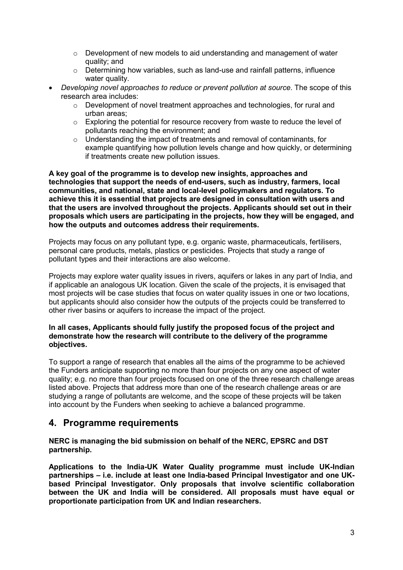- $\circ$  Development of new models to aid understanding and management of water quality; and
- $\circ$  Determining how variables, such as land-use and rainfall patterns, influence water quality.
- *Developing novel approaches to reduce or prevent pollution at source*. The scope of this research area includes:
	- $\circ$  Development of novel treatment approaches and technologies, for rural and urban areas;
	- o Exploring the potential for resource recovery from waste to reduce the level of pollutants reaching the environment; and
	- $\circ$  Understanding the impact of treatments and removal of contaminants, for example quantifying how pollution levels change and how quickly, or determining if treatments create new pollution issues.

**A key goal of the programme is to develop new insights, approaches and technologies that support the needs of end-users, such as industry, farmers, local communities, and national, state and local-level policymakers and regulators. To achieve this it is essential that projects are designed in consultation with users and that the users are involved throughout the projects. Applicants should set out in their proposals which users are participating in the projects, how they will be engaged, and how the outputs and outcomes address their requirements.** 

Projects may focus on any pollutant type, e.g. organic waste, pharmaceuticals, fertilisers, personal care products, metals, plastics or pesticides. Projects that study a range of pollutant types and their interactions are also welcome.

Projects may explore water quality issues in rivers, aquifers or lakes in any part of India, and if applicable an analogous UK location. Given the scale of the projects, it is envisaged that most projects will be case studies that focus on water quality issues in one or two locations, but applicants should also consider how the outputs of the projects could be transferred to other river basins or aquifers to increase the impact of the project.

#### **In all cases, Applicants should fully justify the proposed focus of the project and demonstrate how the research will contribute to the delivery of the programme objectives.**

To support a range of research that enables all the aims of the programme to be achieved the Funders anticipate supporting no more than four projects on any one aspect of water quality; e.g. no more than four projects focused on one of the three research challenge areas listed above. Projects that address more than one of the research challenge areas or are studying a range of pollutants are welcome, and the scope of these projects will be taken into account by the Funders when seeking to achieve a balanced programme.

## **4. Programme requirements**

**NERC is managing the bid submission on behalf of the NERC, EPSRC and DST partnership.** 

**Applications to the India-UK Water Quality programme must include UK-Indian partnerships – i.e. include at least one India-based Principal Investigator and one UKbased Principal Investigator. Only proposals that involve scientific collaboration between the UK and India will be considered. All proposals must have equal or proportionate participation from UK and Indian researchers.**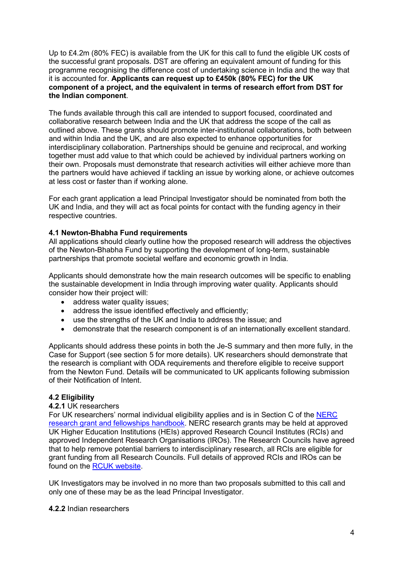Up to £4.2m (80% FEC) is available from the UK for this call to fund the eligible UK costs of the successful grant proposals. DST are offering an equivalent amount of funding for this programme recognising the difference cost of undertaking science in India and the way that it is accounted for. **Applicants can request up to £450k (80% FEC) for the UK component of a project, and the equivalent in terms of research effort from DST for the Indian component**.

The funds available through this call are intended to support focused, coordinated and collaborative research between India and the UK that address the scope of the call as outlined above. These grants should promote inter-institutional collaborations, both between and within India and the UK, and are also expected to enhance opportunities for interdisciplinary collaboration. Partnerships should be genuine and reciprocal, and working together must add value to that which could be achieved by individual partners working on their own. Proposals must demonstrate that research activities will either achieve more than the partners would have achieved if tackling an issue by working alone, or achieve outcomes at less cost or faster than if working alone.

For each grant application a lead Principal Investigator should be nominated from both the UK and India, and they will act as focal points for contact with the funding agency in their respective countries.

### **4.1 Newton-Bhabha Fund requirements**

All applications should clearly outline how the proposed research will address the objectives of the Newton-Bhabha Fund by supporting the development of long-term, sustainable partnerships that promote societal welfare and economic growth in India.

Applicants should demonstrate how the main research outcomes will be specific to enabling the sustainable development in India through improving water quality. Applicants should consider how their project will:

- address water quality issues;
- address the issue identified effectively and efficiently;
- use the strengths of the UK and India to address the issue; and
- demonstrate that the research component is of an internationally excellent standard.

Applicants should address these points in both the Je-S summary and then more fully, in the Case for Support (see section 5 for more details). UK researchers should demonstrate that the research is compliant with ODA requirements and therefore eligible to receive support from the Newton Fund. Details will be communicated to UK applicants following submission of their Notification of Intent.

#### **4.2 Eligibility**

#### **4.2.1** UK researchers

For UK researchers' normal individual eligibility applies and is in Section C of the NERC research grant and fellowships handbook. NERC research grants may be held at approved UK Higher Education Institutions (HEIs) approved Research Council Institutes (RCIs) and approved Independent Research Organisations (IROs). The Research Councils have agreed that to help remove potential barriers to interdisciplinary research, all RCIs are eligible for grant funding from all Research Councils. Full details of approved RCIs and IROs can be found on the RCUK website.

UK Investigators may be involved in no more than two proposals submitted to this call and only one of these may be as the lead Principal Investigator.

#### **4.2.2** Indian researchers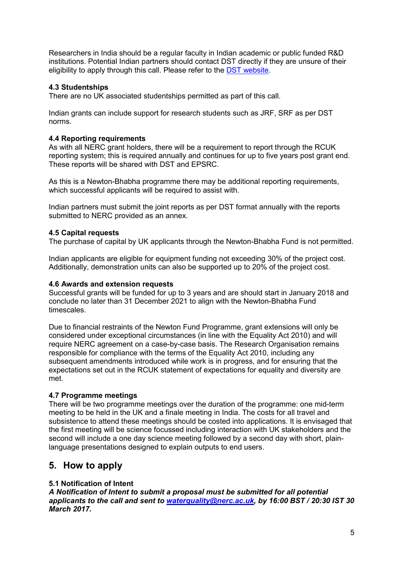Researchers in India should be a regular faculty in Indian academic or public funded R&D institutions. Potential Indian partners should contact DST directly if they are unsure of their eligibility to apply through this call. Please refer to the DST website.

### **4.3 Studentships**

There are no UK associated studentships permitted as part of this call.

Indian grants can include support for research students such as JRF, SRF as per DST norms.

#### **4.4 Reporting requirements**

As with all NERC grant holders, there will be a requirement to report through the RCUK reporting system; this is required annually and continues for up to five years post grant end. These reports will be shared with DST and EPSRC.

As this is a Newton-Bhabha programme there may be additional reporting requirements, which successful applicants will be required to assist with.

Indian partners must submit the joint reports as per DST format annually with the reports submitted to NERC provided as an annex.

#### **4.5 Capital requests**

The purchase of capital by UK applicants through the Newton-Bhabha Fund is not permitted.

Indian applicants are eligible for equipment funding not exceeding 30% of the project cost. Additionally, demonstration units can also be supported up to 20% of the project cost.

#### **4.6 Awards and extension requests**

Successful grants will be funded for up to 3 years and are should start in January 2018 and conclude no later than 31 December 2021 to align with the Newton-Bhabha Fund timescales.

Due to financial restraints of the Newton Fund Programme, grant extensions will only be considered under exceptional circumstances (in line with the Equality Act 2010) and will require NERC agreement on a case-by-case basis. The Research Organisation remains responsible for compliance with the terms of the Equality Act 2010, including any subsequent amendments introduced while work is in progress, and for ensuring that the expectations set out in the RCUK statement of expectations for equality and diversity are met.

#### **4.7 Programme meetings**

There will be two programme meetings over the duration of the programme: one mid-term meeting to be held in the UK and a finale meeting in India. The costs for all travel and subsistence to attend these meetings should be costed into applications. It is envisaged that the first meeting will be science focussed including interaction with UK stakeholders and the second will include a one day science meeting followed by a second day with short, plainlanguage presentations designed to explain outputs to end users.

## **5. How to apply**

### **5.1 Notification of Intent**

*A Notification of Intent to submit a proposal must be submitted for all potential applicants to the call and sent to waterquality@nerc.ac.uk, by 16:00 BST / 20:30 IST 30 March 2017.*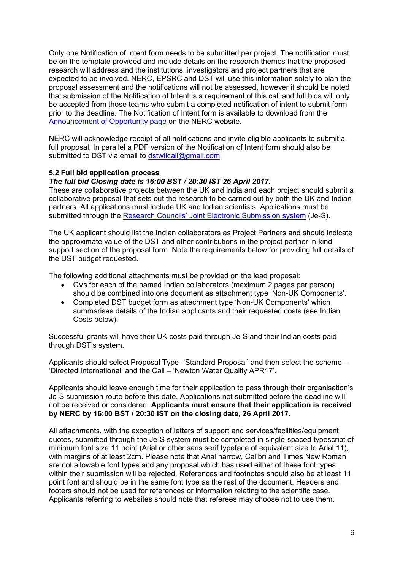Only one Notification of Intent form needs to be submitted per project. The notification must be on the template provided and include details on the research themes that the proposed research will address and the institutions, investigators and project partners that are expected to be involved. NERC, EPSRC and DST will use this information solely to plan the proposal assessment and the notifications will not be assessed, however it should be noted that submission of the Notification of Intent is a requirement of this call and full bids will only be accepted from those teams who submit a completed notification of intent to submit form prior to the deadline. The Notification of Intent form is available to download from the Announcement of Opportunity page on the NERC website.

NERC will acknowledge receipt of all notifications and invite eligible applicants to submit a full proposal. In parallel a PDF version of the Notification of Intent form should also be submitted to DST via email to dstwticall@gmail.com.

#### **5.2 Full bid application process**

#### *The full bid Closing date is 16:00 BST / 20:30 IST 26 April 2017.*

These are collaborative projects between the UK and India and each project should submit a collaborative proposal that sets out the research to be carried out by both the UK and Indian partners. All applications must include UK and Indian scientists. Applications must be submitted through the Research Councils' Joint Electronic Submission system (Je-S).

The UK applicant should list the Indian collaborators as Project Partners and should indicate the approximate value of the DST and other contributions in the project partner in-kind support section of the proposal form. Note the requirements below for providing full details of the DST budget requested.

The following additional attachments must be provided on the lead proposal:

- CVs for each of the named Indian collaborators (maximum 2 pages per person) should be combined into one document as attachment type 'Non-UK Components'.
- Completed DST budget form as attachment type 'Non-UK Components' which summarises details of the Indian applicants and their requested costs (see Indian Costs below).

Successful grants will have their UK costs paid through Je-S and their Indian costs paid through DST's system.

Applicants should select Proposal Type- 'Standard Proposal' and then select the scheme – 'Directed International' and the Call – 'Newton Water Quality APR17'.

Applicants should leave enough time for their application to pass through their organisation's Je-S submission route before this date. Applications not submitted before the deadline will not be received or considered. **Applicants must ensure that their application is received by NERC by 16:00 BST / 20:30 IST on the closing date, 26 April 2017**.

All attachments, with the exception of letters of support and services/facilities/equipment quotes, submitted through the Je-S system must be completed in single-spaced typescript of minimum font size 11 point (Arial or other sans serif typeface of equivalent size to Arial 11), with margins of at least 2cm. Please note that Arial narrow, Calibri and Times New Roman are not allowable font types and any proposal which has used either of these font types within their submission will be rejected. References and footnotes should also be at least 11 point font and should be in the same font type as the rest of the document. Headers and footers should not be used for references or information relating to the scientific case. Applicants referring to websites should note that referees may choose not to use them.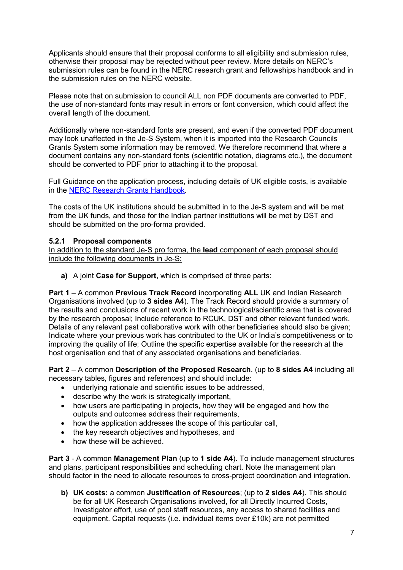Applicants should ensure that their proposal conforms to all eligibility and submission rules, otherwise their proposal may be rejected without peer review. More details on NERC's submission rules can be found in the NERC research grant and fellowships handbook and in the submission rules on the NERC website.

Please note that on submission to council ALL non PDF documents are converted to PDF, the use of non-standard fonts may result in errors or font conversion, which could affect the overall length of the document.

Additionally where non-standard fonts are present, and even if the converted PDF document may look unaffected in the Je-S System, when it is imported into the Research Councils Grants System some information may be removed. We therefore recommend that where a document contains any non-standard fonts (scientific notation, diagrams etc.), the document should be converted to PDF prior to attaching it to the proposal.

Full Guidance on the application process, including details of UK eligible costs, is available in the NERC Research Grants Handbook.

The costs of the UK institutions should be submitted in to the Je-S system and will be met from the UK funds, and those for the Indian partner institutions will be met by DST and should be submitted on the pro-forma provided.

#### **5.2.1 Proposal components**

In addition to the standard Je-S pro forma, the **lead** component of each proposal should include the following documents in Je-S:

**a)** A joint **Case for Support**, which is comprised of three parts:

**Part 1** – A common **Previous Track Record** incorporating **ALL** UK and Indian Research Organisations involved (up to **3 sides A4**). The Track Record should provide a summary of the results and conclusions of recent work in the technological/scientific area that is covered by the research proposal; Include reference to RCUK, DST and other relevant funded work. Details of any relevant past collaborative work with other beneficiaries should also be given; Indicate where your previous work has contributed to the UK or India's competitiveness or to improving the quality of life; Outline the specific expertise available for the research at the host organisation and that of any associated organisations and beneficiaries.

**Part 2** – A common **Description of the Proposed Research**. (up to **8 sides A4** including all necessary tables, figures and references) and should include:

- underlying rationale and scientific issues to be addressed,
- describe why the work is strategically important,
- how users are participating in projects, how they will be engaged and how the outputs and outcomes address their requirements,
- how the application addresses the scope of this particular call,
- the key research objectives and hypotheses, and
- how these will be achieved.

**Part 3** - A common **Management Plan** (up to **1 side A4**). To include management structures and plans, participant responsibilities and scheduling chart. Note the management plan should factor in the need to allocate resources to cross-project coordination and integration.

**b) UK costs:** a common **Justification of Resources**; (up to **2 sides A4**). This should be for all UK Research Organisations involved, for all Directly Incurred Costs, Investigator effort, use of pool staff resources, any access to shared facilities and equipment. Capital requests (i.e. individual items over £10k) are not permitted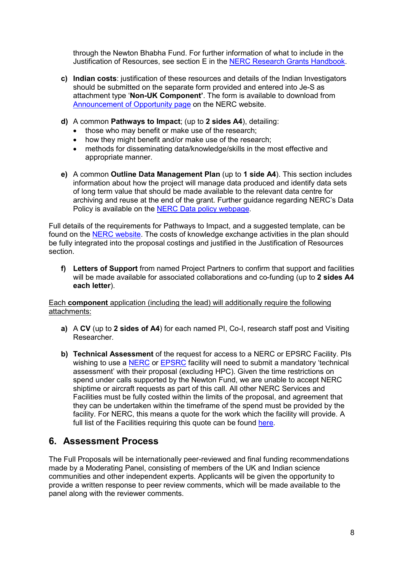through the Newton Bhabha Fund. For further information of what to include in the Justification of Resources, see section E in the NERC Research Grants Handbook.

- **c) Indian costs**: justification of these resources and details of the Indian Investigators should be submitted on the separate form provided and entered into Je-S as attachment type '**Non-UK Component'**. The form is available to download from Announcement of Opportunity page on the NERC website.
- **d)** A common **Pathways to Impact**; (up to **2 sides A4**), detailing:
	- those who may benefit or make use of the research;
	- how they might benefit and/or make use of the research;
	- methods for disseminating data/knowledge/skills in the most effective and appropriate manner.
- **e)** A common **Outline Data Management Plan** (up to **1 side A4**). This section includes information about how the project will manage data produced and identify data sets of long term value that should be made available to the relevant data centre for archiving and reuse at the end of the grant. Further guidance regarding NERC's Data Policy is available on the NERC Data policy webpage.

Full details of the requirements for Pathways to Impact, and a suggested template, can be found on the NERC website. The costs of knowledge exchange activities in the plan should be fully integrated into the proposal costings and justified in the Justification of Resources section.

**f) Letters of Support** from named Project Partners to confirm that support and facilities will be made available for associated collaborations and co-funding (up to **2 sides A4 each letter**).

#### Each **component** application (including the lead) will additionally require the following attachments:

- **a)** A **CV** (up to **2 sides of A4**) for each named PI, Co-I, research staff post and Visiting Researcher.
- **b) Technical Assessment** of the request for access to a NERC or EPSRC Facility. PIs wishing to use a NERC or EPSRC facility will need to submit a mandatory 'technical assessment' with their proposal (excluding HPC). Given the time restrictions on spend under calls supported by the Newton Fund, we are unable to accept NERC shiptime or aircraft requests as part of this call. All other NERC Services and Facilities must be fully costed within the limits of the proposal, and agreement that they can be undertaken within the timeframe of the spend must be provided by the facility. For NERC, this means a quote for the work which the facility will provide. A full list of the Facilities requiring this quote can be found here.

## **6. Assessment Process**

The Full Proposals will be internationally peer-reviewed and final funding recommendations made by a Moderating Panel, consisting of members of the UK and Indian science communities and other independent experts. Applicants will be given the opportunity to provide a written response to peer review comments, which will be made available to the panel along with the reviewer comments.